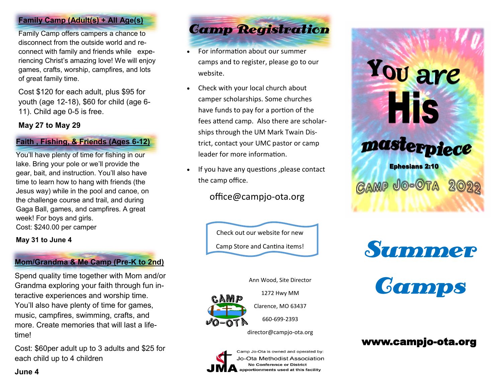#### **Family Camp (Adult(s) + All Age(s)**

Family Camp offers campers a chance to disconnect from the outside world and reconnect with family and friends while experiencing Christ's amazing love! We will enjoy games, crafts, worship, campfires, and lots of great family time.

Cost \$120 for each adult, plus \$95 for youth (age 12-18), \$60 for child (age 6- 11). Child age 0-5 is free.

#### **May 27 to May 29**

#### **Faith , Fishing, & Friends (Ages 6-12)**

You'll have plenty of time for fishing in our lake. Bring your pole or we'll provide the gear, bait, and instruction. You'll also have time to learn how to hang with friends (the Jesus way) while in the pool and canoe, on the challenge course and trail, and during Gaga Ball, games, and campfires. A great week! For boys and girls. Cost: \$240.00 per camper

#### **May 31 to June 4**

### **Mom/Grandma & Me Camp (Pre-K to 2nd)**

Spend quality time together with Mom and/or Grandma exploring your faith through fun interactive experiences and worship time. You'll also have plenty of time for games, music, campfires, swimming, crafts, and more. Create memories that will last a lifetime!

Cost: \$60per adult up to 3 adults and \$25 for each child up to 4 children

Camp Registration

- For information about our summer camps and to register, please go to our website.
- Check with your local church about camper scholarships. Some churches have funds to pay for a portion of the fees attend camp. Also there are scholarships through the UM Mark Twain District, contact your UMC pastor or camp leader for more information.
- If you have any questions ,please contact the camp office.

# office@campjo-ota.org

Check out our website for new Camp Store and Cantina items!

Ann Wood, Site Director

1272 Hwy MM

 $VQ - QT$ 

Clarence, MO 63437

660-699-2393

director@campjo-ota.org



Camp Jo-Ota is owned and operated by: Jo-Ota Methodist Association **No Conference or District** apportionments used at this facility

# You are His masterpiece

**Ephesians 2:10 GAMP JO-OTA** 





# www.campjo-ota.org

**June 4**